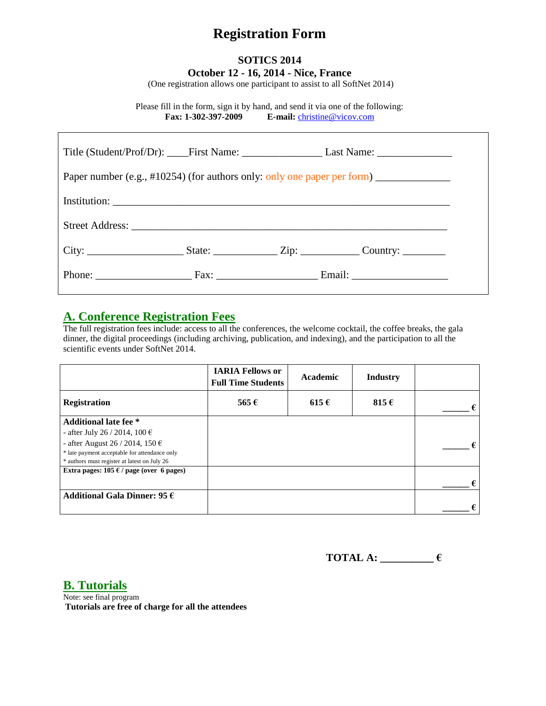# **Registration Form**

### **SOTICS 2014 October 12 - 16, 2014 - Nice, France**

(One registration allows one participant to assist to all SoftNet 2014)

Please fill in the form, sign it by hand, and send it via one of the following: **Fax: 1-302-397-2009 E-mail:** [christine@vicov.com](mailto:christine@vicov.com)

| Paper number (e.g., #10254) (for authors only: only one paper per form) _______________ |  |  |                                                                                                      |  |  |
|-----------------------------------------------------------------------------------------|--|--|------------------------------------------------------------------------------------------------------|--|--|
|                                                                                         |  |  |                                                                                                      |  |  |
|                                                                                         |  |  |                                                                                                      |  |  |
|                                                                                         |  |  | City: _________________________State: ___________________Zip: ________________Country: _____________ |  |  |
|                                                                                         |  |  | Phone: Fax: Fax: Francisco Email: Email:                                                             |  |  |

### **A. Conference Registration Fees**

The full registration fees include: access to all the conferences, the welcome cocktail, the coffee breaks, the gala dinner, the digital proceedings (including archiving, publication, and indexing), and the participation to all the scientific events under SoftNet 2014.

|                                                 | <b>IARIA Fellows or</b><br><b>Full Time Students</b> | Academic  | <b>Industry</b> |   |
|-------------------------------------------------|------------------------------------------------------|-----------|-----------------|---|
| <b>Registration</b>                             | 565 $\epsilon$                                       | $615 \in$ | 815 $\epsilon$  | € |
| <b>Additional late fee</b> *                    |                                                      |           |                 |   |
| - after July 26 / 2014, 100 €                   |                                                      |           |                 |   |
| - after August 26 / 2014, 150 $\epsilon$        |                                                      |           |                 |   |
| * late payment acceptable for attendance only   |                                                      |           |                 |   |
| * authors must register at latest on July 26    |                                                      |           |                 |   |
| Extra pages: $105 \in \ell$ page (over 6 pages) |                                                      |           |                 |   |
|                                                 |                                                      |           |                 | € |
| Additional Gala Dinner: 95 $\epsilon$           |                                                      |           |                 |   |
|                                                 |                                                      |           |                 | € |

**TOTAL A: \_\_\_\_\_\_\_\_\_\_ €**

**B. Tutorials**

Note: see final program **Tutorials are free of charge for all the attendees**